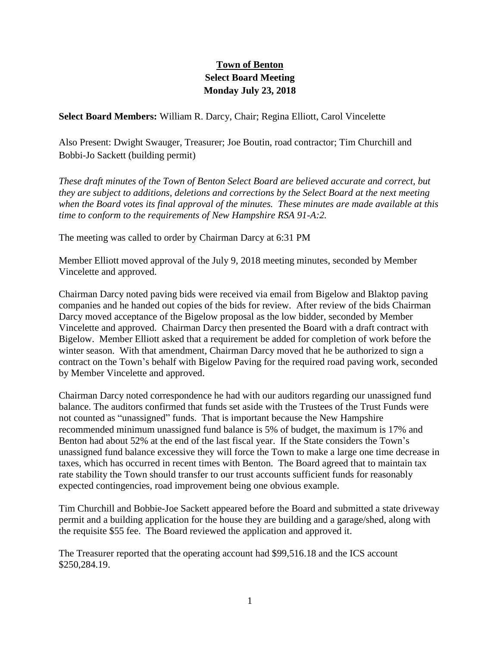## **Town of Benton Select Board Meeting Monday July 23, 2018**

**Select Board Members:** William R. Darcy, Chair; Regina Elliott, Carol Vincelette

Also Present: Dwight Swauger, Treasurer; Joe Boutin, road contractor; Tim Churchill and Bobbi-Jo Sackett (building permit)

*These draft minutes of the Town of Benton Select Board are believed accurate and correct, but they are subject to additions, deletions and corrections by the Select Board at the next meeting when the Board votes its final approval of the minutes. These minutes are made available at this time to conform to the requirements of New Hampshire RSA 91-A:2.*

The meeting was called to order by Chairman Darcy at 6:31 PM

Member Elliott moved approval of the July 9, 2018 meeting minutes, seconded by Member Vincelette and approved.

Chairman Darcy noted paving bids were received via email from Bigelow and Blaktop paving companies and he handed out copies of the bids for review. After review of the bids Chairman Darcy moved acceptance of the Bigelow proposal as the low bidder, seconded by Member Vincelette and approved. Chairman Darcy then presented the Board with a draft contract with Bigelow. Member Elliott asked that a requirement be added for completion of work before the winter season. With that amendment, Chairman Darcy moved that he be authorized to sign a contract on the Town's behalf with Bigelow Paving for the required road paving work, seconded by Member Vincelette and approved.

Chairman Darcy noted correspondence he had with our auditors regarding our unassigned fund balance. The auditors confirmed that funds set aside with the Trustees of the Trust Funds were not counted as "unassigned" funds. That is important because the New Hampshire recommended minimum unassigned fund balance is 5% of budget, the maximum is 17% and Benton had about 52% at the end of the last fiscal year. If the State considers the Town's unassigned fund balance excessive they will force the Town to make a large one time decrease in taxes, which has occurred in recent times with Benton. The Board agreed that to maintain tax rate stability the Town should transfer to our trust accounts sufficient funds for reasonably expected contingencies, road improvement being one obvious example.

Tim Churchill and Bobbie-Joe Sackett appeared before the Board and submitted a state driveway permit and a building application for the house they are building and a garage/shed, along with the requisite \$55 fee. The Board reviewed the application and approved it.

The Treasurer reported that the operating account had \$99,516.18 and the ICS account \$250,284.19.